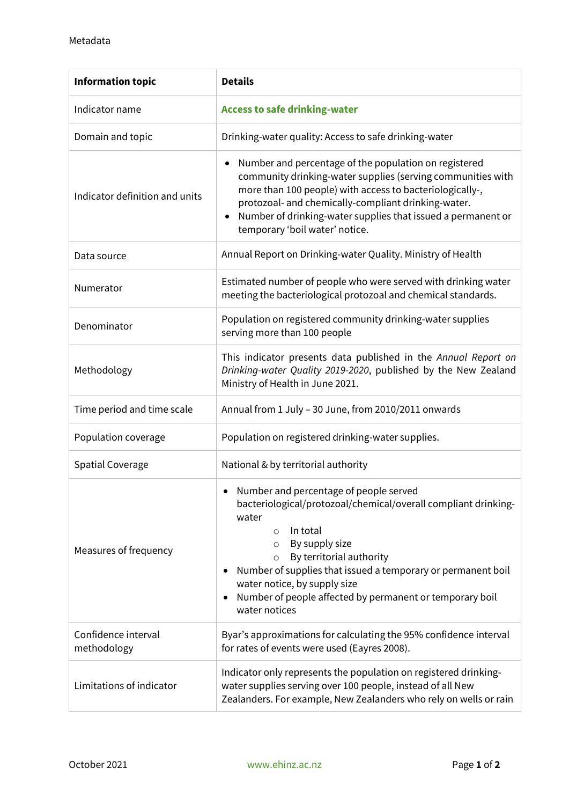| <b>Information topic</b>           | <b>Details</b>                                                                                                                                                                                                                                                                                                                                                                                         |
|------------------------------------|--------------------------------------------------------------------------------------------------------------------------------------------------------------------------------------------------------------------------------------------------------------------------------------------------------------------------------------------------------------------------------------------------------|
| Indicator name                     | <b>Access to safe drinking-water</b>                                                                                                                                                                                                                                                                                                                                                                   |
| Domain and topic                   | Drinking-water quality: Access to safe drinking-water                                                                                                                                                                                                                                                                                                                                                  |
| Indicator definition and units     | Number and percentage of the population on registered<br>community drinking-water supplies (serving communities with<br>more than 100 people) with access to bacteriologically-,<br>protozoal- and chemically-compliant drinking-water.<br>Number of drinking-water supplies that issued a permanent or<br>temporary 'boil water' notice.                                                              |
| Data source                        | Annual Report on Drinking-water Quality. Ministry of Health                                                                                                                                                                                                                                                                                                                                            |
| Numerator                          | Estimated number of people who were served with drinking water<br>meeting the bacteriological protozoal and chemical standards.                                                                                                                                                                                                                                                                        |
| Denominator                        | Population on registered community drinking-water supplies<br>serving more than 100 people                                                                                                                                                                                                                                                                                                             |
| Methodology                        | This indicator presents data published in the Annual Report on<br>Drinking-water Quality 2019-2020, published by the New Zealand<br>Ministry of Health in June 2021.                                                                                                                                                                                                                                   |
| Time period and time scale         | Annual from 1 July - 30 June, from 2010/2011 onwards                                                                                                                                                                                                                                                                                                                                                   |
| Population coverage                | Population on registered drinking-water supplies.                                                                                                                                                                                                                                                                                                                                                      |
| <b>Spatial Coverage</b>            | National & by territorial authority                                                                                                                                                                                                                                                                                                                                                                    |
| Measures of frequency              | Number and percentage of people served<br>bacteriological/protozoal/chemical/overall compliant drinking-<br>water<br>In total<br>$\circ$<br>By supply size<br>$\circ$<br>By territorial authority<br>$\circ$<br>Number of supplies that issued a temporary or permanent boil<br>water notice, by supply size<br>Number of people affected by permanent or temporary boil<br>$\bullet$<br>water notices |
| Confidence interval<br>methodology | Byar's approximations for calculating the 95% confidence interval<br>for rates of events were used (Eayres 2008).                                                                                                                                                                                                                                                                                      |
| Limitations of indicator           | Indicator only represents the population on registered drinking-<br>water supplies serving over 100 people, instead of all New<br>Zealanders. For example, New Zealanders who rely on wells or rain                                                                                                                                                                                                    |